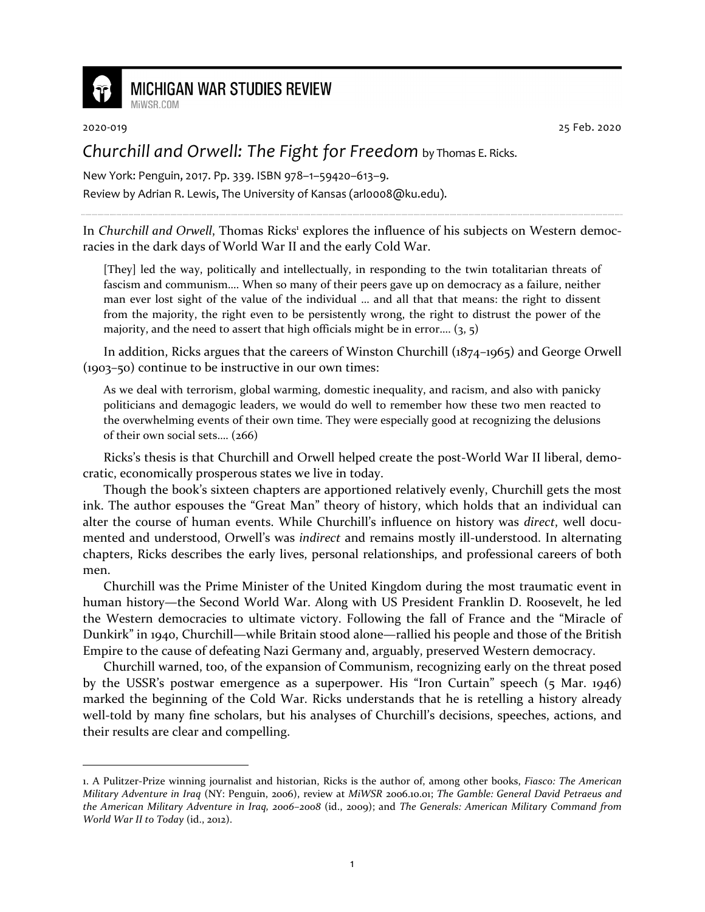

## **MICHIGAN WAR STUDIES REVIEW**

MiWSR COM

2020-019 25 Feb. 2020

## *Churchill and Orwell: The Fight for Freedom* by Thomas E. Ricks.

New York: Penguin, 2017. Pp. 339. ISBN 978–1–59420–613–9. Review by Adrian R. Lewis, The University of Kansas (arl0008@ku.edu).

In Churchill and Orwell, Thomas Ricks<sup>1</sup> explores the influence of his subjects on Western democracies in the dark days of World War II and the early Cold War.

[They] led the way, politically and intellectually, in responding to the twin totalitarian threats of fascism and communism…. When so many of their peers gave up on democracy as a failure, neither man ever lost sight of the value of the individual … and all that that means: the right to dissent from the majority, the right even to be persistently wrong, the right to distrust the power of the majority, and the need to assert that high officials might be in error....  $(3, 5)$ 

In addition, Ricks argues that the careers of Winston Churchill (1874–1965) and George Orwell (1903–50) continue to be instructive in our own times:

As we deal with terrorism, global warming, domestic inequality, and racism, and also with panicky politicians and demagogic leaders, we would do well to remember how these two men reacted to the overwhelming events of their own time. They were especially good at recognizing the delusions of their own social sets…. (266)

Ricks's thesis is that Churchill and Orwell helped create the post-World War II liberal, democratic, economically prosperous states we live in today.

Though the book's sixteen chapters are apportioned relatively evenly, Churchill gets the most ink. The author espouses the "Great Man" theory of history, which holds that an individual can alter the course of human events. While Churchill's influence on history was *direct*, well documented and understood, Orwell's was *indirect* and remains mostly ill-understood. In alternating chapters, Ricks describes the early lives, personal relationships, and professional careers of both men.

Churchill was the Prime Minister of the United Kingdom during the most traumatic event in human history—the Second World War. Along with US President Franklin D. Roosevelt, he led the Western democracies to ultimate victory. Following the fall of France and the "Miracle of Dunkirk" in 1940, Churchill—while Britain stood alone—rallied his people and those of the British Empire to the cause of defeating Nazi Germany and, arguably, preserved Western democracy.

Churchill warned, too, of the expansion of Communism, recognizing early on the threat posed by the USSR's postwar emergence as a superpower. His "Iron Curtain" speech (5 Mar. 1946) marked the beginning of the Cold War. Ricks understands that he is retelling a history already well-told by many fine scholars, but his analyses of Churchill's decisions, speeches, actions, and their results are clear and compelling.

<sup>1.</sup> A Pulitzer-Prize winning journalist and historian, Ricks is the author of, among other books, *Fiasco: The American Military Adventure in Iraq* (NY: Penguin, 2006), review at *MiWSR* 2006.10.01; *The Gamble: General David Petraeus and the American Military Adventure in Iraq, 2006–2008* (id., 2009); and *The Generals: American Military Command from World War II to Today* (id., 2012).